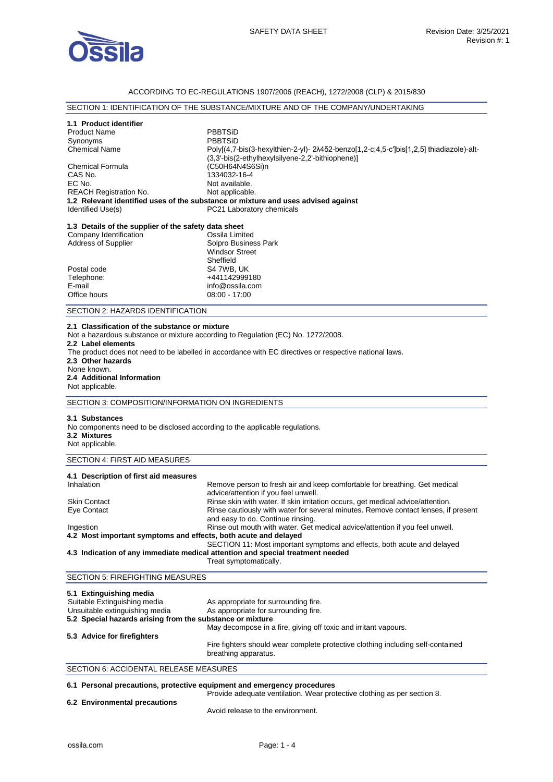

#### ACCORDING TO EC-REGULATIONS 1907/2006 (REACH), 1272/2008 (CLP) & 2015/830

# SECTION 1: IDENTIFICATION OF THE SUBSTANCE/MIXTURE AND OF THE COMPANY/UNDERTAKING

## **1.1 Product identifier**

Product Name PBBTSiD Synonyms PBBTSiD<br>Chemical Name Polyl(4.7-Poly[(4,7-bis(3-hexylthien-2-yl)- 2λ4δ2-benzo[1,2-c;4,5-c']bis[1,2,5] thiadiazole)-alt-(3,3'-bis(2-ethylhexylsilyene-2,2'-bithiophene)] Chemical Formula (C50H64N4S6Si)n CAS No. 2334032-16-4<br>
FC No. 2334032-16-4<br>
Not available Not available. REACH Registration No. Not applicable. **1.2 Relevant identified uses of the substance or mixture and uses advised against**  PC21 Laboratory chemicals **1.3 Details of the supplier of the safety data sheet** Company Identification

| Company racminoation       | <u>ouuna Emmuud</u>   |
|----------------------------|-----------------------|
| <b>Address of Supplier</b> | Solpro Business Park  |
|                            | <b>Windsor Street</b> |
|                            | Sheffield             |
| Postal code                | S4 7WB. UK            |
| Telephone:                 | +441142999180         |
| E-mail                     | info@ossila.com       |
| Office hours               | 08:00 - 17:00         |
|                            |                       |

SECTION 2: HAZARDS IDENTIFICATION

#### **2.1 Classification of the substance or mixture**

Not a hazardous substance or mixture according to Regulation (EC) No. 1272/2008.

#### **2.2 Label elements**

The product does not need to be labelled in accordance with EC directives or respective national laws. **2.3 Other hazards**  None known. **2.4 Additional Information** 

# Not applicable.

SECTION 3: COMPOSITION/INFORMATION ON INGREDIENTS

#### **3.1 Substances**

No components need to be disclosed according to the applicable regulations. **3.2 Mixtures**  Not applicable.

### SECTION 4: FIRST AID MEASURES

| 4.1 Description of first aid measures                                          |                                                                                                                         |
|--------------------------------------------------------------------------------|-------------------------------------------------------------------------------------------------------------------------|
| Inhalation                                                                     | Remove person to fresh air and keep comfortable for breathing. Get medical<br>advice/attention if you feel unwell.      |
| <b>Skin Contact</b>                                                            | Rinse skin with water. If skin irritation occurs, get medical advice/attention.                                         |
| Eye Contact                                                                    | Rinse cautiously with water for several minutes. Remove contact lenses, if present<br>and easy to do. Continue rinsing. |
| Ingestion                                                                      | Rinse out mouth with water. Get medical advice/attention if you feel unwell.                                            |
| 4.2 Most important symptoms and effects, both acute and delayed                |                                                                                                                         |
|                                                                                | SECTION 11: Most important symptoms and effects, both acute and delayed                                                 |
| 4.3 Indication of any immediate medical attention and special treatment needed |                                                                                                                         |

### Treat symptomatically.

#### SECTION 5: FIREFIGHTING MEASURES

| 5.1 Extinguishing media                                   |                                                                                                         |
|-----------------------------------------------------------|---------------------------------------------------------------------------------------------------------|
| Suitable Extinguishing media                              | As appropriate for surrounding fire.                                                                    |
| Unsuitable extinguishing media                            | As appropriate for surrounding fire.                                                                    |
| 5.2 Special hazards arising from the substance or mixture |                                                                                                         |
|                                                           | May decompose in a fire, giving off toxic and irritant vapours.                                         |
| 5.3 Advice for firefighters                               |                                                                                                         |
|                                                           | Fire fighters should wear complete protective clothing including self-contained<br>breathing apparatus. |

## SECTION 6: ACCIDENTAL RELEASE MEASURES

### **6.1 Personal precautions, protective equipment and emergency procedures**

Provide adequate ventilation. Wear protective clothing as per section 8.

#### **6.2 Environmental precautions**

Avoid release to the environment.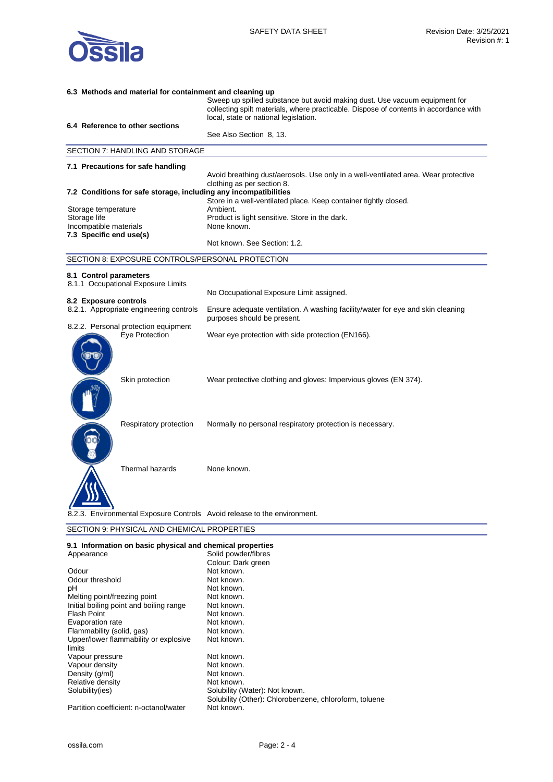

| 6.3 Methods and material for containment and cleaning up |                                                  |                                                                                                                                                                     |
|----------------------------------------------------------|--------------------------------------------------|---------------------------------------------------------------------------------------------------------------------------------------------------------------------|
|                                                          |                                                  | Sweep up spilled substance but avoid making dust. Use vacuum equipment for<br>collecting spilt materials, where practicable. Dispose of contents in accordance with |
|                                                          |                                                  | local, state or national legislation.                                                                                                                               |
|                                                          | 6.4 Reference to other sections                  |                                                                                                                                                                     |
|                                                          |                                                  | See Also Section 8, 13.                                                                                                                                             |
|                                                          | SECTION 7: HANDLING AND STORAGE                  |                                                                                                                                                                     |
|                                                          | 7.1 Precautions for safe handling                |                                                                                                                                                                     |
|                                                          |                                                  | Avoid breathing dust/aerosols. Use only in a well-ventilated area. Wear protective<br>clothing as per section 8.                                                    |
|                                                          |                                                  | 7.2 Conditions for safe storage, including any incompatibilities                                                                                                    |
|                                                          |                                                  | Store in a well-ventilated place. Keep container tightly closed.                                                                                                    |
| Storage temperature                                      |                                                  | Ambient.                                                                                                                                                            |
| Storage life<br>Incompatible materials                   |                                                  | Product is light sensitive. Store in the dark.<br>None known.                                                                                                       |
| 7.3 Specific end use(s)                                  |                                                  |                                                                                                                                                                     |
|                                                          |                                                  | Not known. See Section: 1.2.                                                                                                                                        |
|                                                          | SECTION 8: EXPOSURE CONTROLS/PERSONAL PROTECTION |                                                                                                                                                                     |
| 8.1 Control parameters                                   |                                                  |                                                                                                                                                                     |
|                                                          | 8.1.1 Occupational Exposure Limits               |                                                                                                                                                                     |
|                                                          |                                                  | No Occupational Exposure Limit assigned.                                                                                                                            |
| 8.2 Exposure controls                                    | 8.2.1. Appropriate engineering controls          | Ensure adequate ventilation. A washing facility/water for eye and skin cleaning                                                                                     |
|                                                          |                                                  | purposes should be present.                                                                                                                                         |
|                                                          | 8.2.2. Personal protection equipment             |                                                                                                                                                                     |
|                                                          | Eye Protection                                   | Wear eye protection with side protection (EN166).                                                                                                                   |
|                                                          |                                                  |                                                                                                                                                                     |
|                                                          |                                                  |                                                                                                                                                                     |
|                                                          |                                                  |                                                                                                                                                                     |
|                                                          | Skin protection                                  | Wear protective clothing and gloves: Impervious gloves (EN 374).                                                                                                    |
|                                                          |                                                  |                                                                                                                                                                     |
|                                                          |                                                  |                                                                                                                                                                     |
|                                                          |                                                  |                                                                                                                                                                     |
|                                                          | Respiratory protection                           | Normally no personal respiratory protection is necessary.                                                                                                           |
|                                                          |                                                  |                                                                                                                                                                     |
|                                                          |                                                  |                                                                                                                                                                     |
|                                                          |                                                  |                                                                                                                                                                     |
|                                                          | Thermal hazards                                  | None known.                                                                                                                                                         |
|                                                          |                                                  |                                                                                                                                                                     |
|                                                          |                                                  |                                                                                                                                                                     |
|                                                          |                                                  |                                                                                                                                                                     |
|                                                          |                                                  | Environmental Exposure Controls Avoid release to the environment.                                                                                                   |
|                                                          | SECTION 9: PHYSICAL AND CHEMICAL PROPERTIES      |                                                                                                                                                                     |

| 9.1 Information on basic physical and chemical properties |                                                        |
|-----------------------------------------------------------|--------------------------------------------------------|
| Appearance                                                | Solid powder/fibres                                    |
|                                                           | Colour: Dark green                                     |
| Odour                                                     | Not known.                                             |
| Odour threshold                                           | Not known.                                             |
| рH                                                        | Not known.                                             |
| Melting point/freezing point                              | Not known.                                             |
| Initial boiling point and boiling range                   | Not known.                                             |
| <b>Flash Point</b>                                        | Not known.                                             |
| Evaporation rate                                          | Not known.                                             |
| Flammability (solid, gas)                                 | Not known.                                             |
| Upper/lower flammability or explosive                     | Not known.                                             |
| limits                                                    |                                                        |
| Vapour pressure                                           | Not known.                                             |
| Vapour density                                            | Not known.                                             |
| Density (g/ml)                                            | Not known.                                             |
| Relative density                                          | Not known.                                             |
| Solubility(ies)                                           | Solubility (Water): Not known.                         |
|                                                           | Solubility (Other): Chlorobenzene, chloroform, toluene |
| Partition coefficient: n-octanol/water                    | Not known.                                             |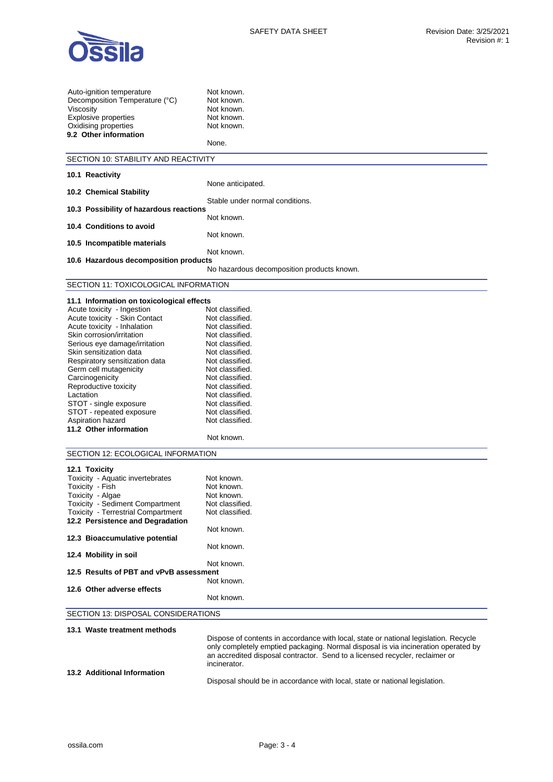

| Auto-ignition temperature<br>Decomposition Temperature (°C)<br>Viscosity<br><b>Explosive properties</b><br>Oxidising properties<br>9.2 Other information | Not known.<br>Not known.<br>Not known.<br>Not known.<br>Not known.<br>None.          |
|----------------------------------------------------------------------------------------------------------------------------------------------------------|--------------------------------------------------------------------------------------|
| SECTION 10: STABILITY AND REACTIVITY                                                                                                                     |                                                                                      |
|                                                                                                                                                          |                                                                                      |
| 10.1 Reactivity                                                                                                                                          | None anticipated.                                                                    |
| 10.2 Chemical Stability                                                                                                                                  |                                                                                      |
|                                                                                                                                                          | Stable under normal conditions.                                                      |
| 10.3 Possibility of hazardous reactions                                                                                                                  | Not known.                                                                           |
| 10.4 Conditions to avoid                                                                                                                                 |                                                                                      |
|                                                                                                                                                          | Not known.                                                                           |
| 10.5 Incompatible materials                                                                                                                              |                                                                                      |
|                                                                                                                                                          | Not known.                                                                           |
| 10.6 Hazardous decomposition products                                                                                                                    | No hazardous decomposition products known.                                           |
|                                                                                                                                                          |                                                                                      |
| SECTION 11: TOXICOLOGICAL INFORMATION                                                                                                                    |                                                                                      |
| 11.1 Information on toxicological effects                                                                                                                |                                                                                      |
| Acute toxicity - Ingestion                                                                                                                               | Not classified.                                                                      |
| Acute toxicity - Skin Contact                                                                                                                            | Not classified.                                                                      |
| Acute toxicity - Inhalation                                                                                                                              | Not classified.                                                                      |
| Skin corrosion/irritation                                                                                                                                | Not classified.                                                                      |
| Serious eye damage/irritation                                                                                                                            | Not classified.                                                                      |
| Skin sensitization data                                                                                                                                  | Not classified.                                                                      |
| Respiratory sensitization data                                                                                                                           | Not classified.                                                                      |
| Germ cell mutagenicity                                                                                                                                   | Not classified.                                                                      |
| Carcinogenicity                                                                                                                                          | Not classified.                                                                      |
| Reproductive toxicity                                                                                                                                    | Not classified.                                                                      |
| Lactation                                                                                                                                                | Not classified.<br>Not classified.                                                   |
| STOT - single exposure<br>STOT - repeated exposure                                                                                                       | Not classified.                                                                      |
| Aspiration hazard                                                                                                                                        | Not classified.                                                                      |
| 11.2 Other information                                                                                                                                   |                                                                                      |
|                                                                                                                                                          | Not known.                                                                           |
|                                                                                                                                                          |                                                                                      |
| SECTION 12: ECOLOGICAL INFORMATION                                                                                                                       |                                                                                      |
| 12.1 Toxicity                                                                                                                                            |                                                                                      |
| Toxicity - Aquatic invertebrates                                                                                                                         | Not known.                                                                           |
| Toxicity - Fish                                                                                                                                          | Not known.                                                                           |
| Toxicity - Algae                                                                                                                                         | Not known                                                                            |
| Toxicity - Sediment Compartment                                                                                                                          | Not classified.                                                                      |
| Toxicity - Terrestrial Compartment                                                                                                                       | Not classified.                                                                      |
| 12.2 Persistence and Degradation                                                                                                                         |                                                                                      |
| 12.3 Bioaccumulative potential                                                                                                                           | Not known.                                                                           |
|                                                                                                                                                          | Not known.                                                                           |
| 12.4 Mobility in soil                                                                                                                                    |                                                                                      |
|                                                                                                                                                          | Not known.                                                                           |
| 12.5 Results of PBT and vPvB assessment                                                                                                                  |                                                                                      |
|                                                                                                                                                          | Not known.                                                                           |
| 12.6 Other adverse effects                                                                                                                               |                                                                                      |
|                                                                                                                                                          | Not known.                                                                           |
| SECTION 13: DISPOSAL CONSIDERATIONS                                                                                                                      |                                                                                      |
|                                                                                                                                                          |                                                                                      |
| 13.1 Waste treatment methods                                                                                                                             |                                                                                      |
|                                                                                                                                                          | Dispose of contents in accordance with local, state or national legislation. Recycle |
|                                                                                                                                                          | only completely emptied packaging. Normal disposal is via incineration operated by   |

an accredited disposal contractor. Send to a licensed recycler, reclaimer or incinerator. **13.2 Additional Information** 

Disposal should be in accordance with local, state or national legislation.